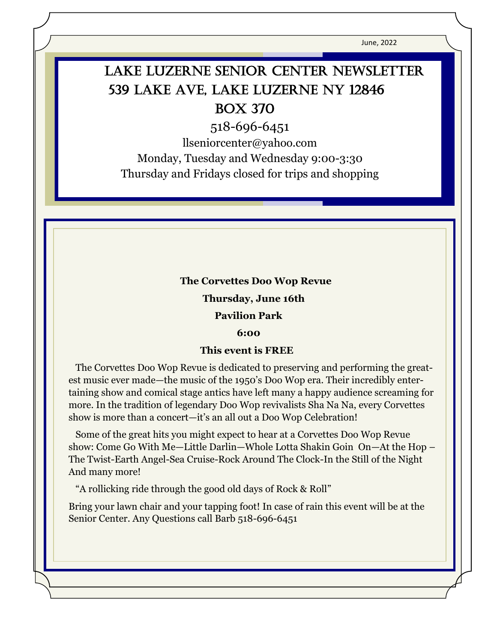June, 2022

# LAKE LUZERNE SENIOR CENTER NEWSLETTER 539 Lake Ave, Lake Luzerne NY 12846 Box 370

518-696-6451

llseniorcenter@yahoo.com

Monday, Tuesday and Wednesday 9:00-3:30 Thursday and Fridays closed for trips and shopping

#### **The Corvettes Doo Wop Revue**

 **Thursday, June 16th** 

#### **Pavilion Park**

#### **6:00**

#### **This event is FREE**

 The Corvettes Doo Wop Revue is dedicated to preserving and performing the greatest music ever made—the music of the 1950's Doo Wop era. Their incredibly entertaining show and comical stage antics have left many a happy audience screaming for more. In the tradition of legendary Doo Wop revivalists Sha Na Na, every Corvettes show is more than a concert—it's an all out a Doo Wop Celebration!

 Some of the great hits you might expect to hear at a Corvettes Doo Wop Revue show: Come Go With Me—Little Darlin—Whole Lotta Shakin Goin On—At the Hop – The Twist-Earth Angel-Sea Cruise-Rock Around The Clock-In the Still of the Night And many more!

"A rollicking ride through the good old days of Rock & Roll"

Bring your lawn chair and your tapping foot! In case of rain this event will be at the Senior Center. Any Questions call Barb 518-696-6451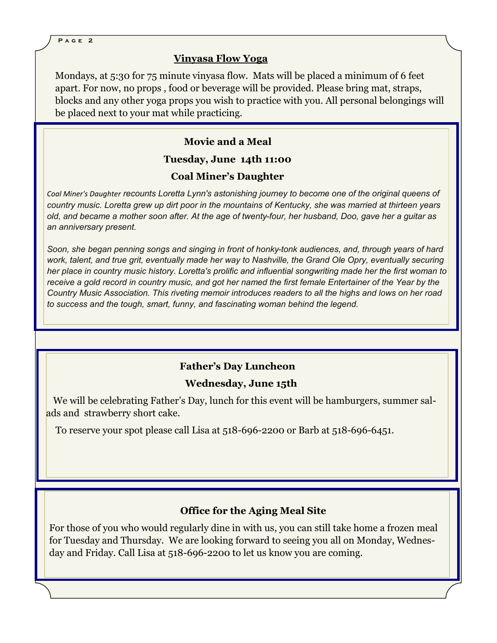#### **Vinyasa Flow Yoga**

Mondays, at 5:30 for 75 minute vinyasa flow. Mats will be placed a minimum of 6 feet apart. For now, no props , food or beverage will be provided. Please bring mat, straps, blocks and any other yoga props you wish to practice with you. All personal belongings will be placed next to your mat while practicing.

### **Movie and a Meal**

#### **Tuesday, June 14th 11:00**

## **Coal Miner's Daughter**

*Coal Miner's Daughter recounts Loretta Lynn's astonishing journey to become one of the original queens of country music. Loretta grew up dirt poor in the mountains of Kentucky, she was married at thirteen years old, and became a mother soon after. At the age of twenty-four, her husband, Doo, gave her a guitar as an anniversary present.*

*Soon, she began penning songs and singing in front of honky-tonk audiences, and, through years of hard work, talent, and true grit, eventually made her way to Nashville, the Grand Ole Opry, eventually securing her place in country music history. Loretta's prolific and influential songwriting made her the first woman to receive a gold record in country music, and got her named the first female Entertainer of the Year by the Country Music Association. This riveting memoir introduces readers to all the highs and lows on her road to success and the tough, smart, funny, and fascinating woman behind the legend.*

# **Father's Day Luncheon**

#### **Wednesday, June 15th**

 We will be celebrating Father's Day, lunch for this event will be hamburgers, summer salads and strawberry short cake.

To reserve your spot please call Lisa at 518-696-2200 or Barb at 518-696-6451.

# **Office for the Aging Meal Site**

For those of you who would regularly dine in with us, you can still take home a frozen meal for Tuesday and Thursday. We are looking forward to seeing you all on Monday, Wednesday and Friday. Call Lisa at 518-696-2200 to let us know you are coming.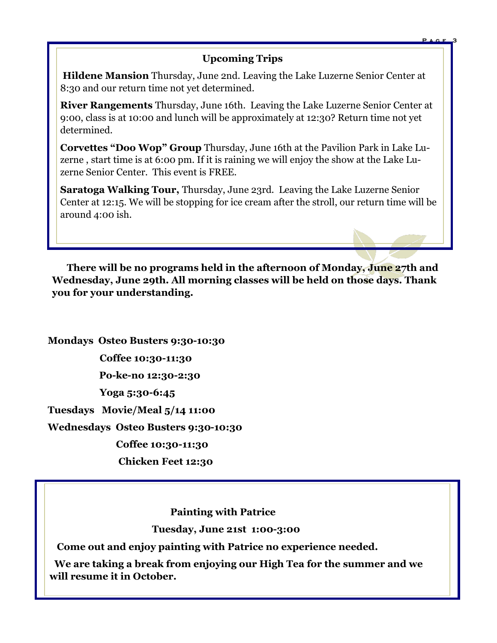# **Upcoming Trips**

**P a g e 3**

**Hildene Mansion** Thursday, June 2nd. Leaving the Lake Luzerne Senior Center at 8:30 and our return time not yet determined.

**River Rangements** Thursday, June 16th. Leaving the Lake Luzerne Senior Center at 9:00, class is at 10:00 and lunch will be approximately at 12:30? Return time not yet determined.

**Corvettes "Doo Wop" Group** Thursday, June 16th at the Pavilion Park in Lake Luzerne , start time is at 6:00 pm. If it is raining we will enjoy the show at the Lake Luzerne Senior Center. This event is FREE.

**Saratoga Walking Tour,** Thursday, June 23rd. Leaving the Lake Luzerne Senior Center at 12:15. We will be stopping for ice cream after the stroll, our return time will be around 4:00 ish.

 **There will be no programs held in the afternoon of Monday, June 27th and Wednesday, June 29th. All morning classes will be held on those days. Thank you for your understanding.** 

**Mondays Osteo Busters 9:30-10:30 Coffee 10:30-11:30 Po-ke-no 12:30-2:30 Yoga 5:30-6:45 Tuesdays Movie/Meal 5/14 11:00 Wednesdays Osteo Busters 9:30-10:30 Coffee 10:30-11:30 Chicken Feet 12:30**

**Painting with Patrice**

 **Tuesday, June 21st 1:00-3:00**

 **Come out and enjoy painting with Patrice no experience needed.**

 **We are taking a break from enjoying our High Tea for the summer and we will resume it in October.**